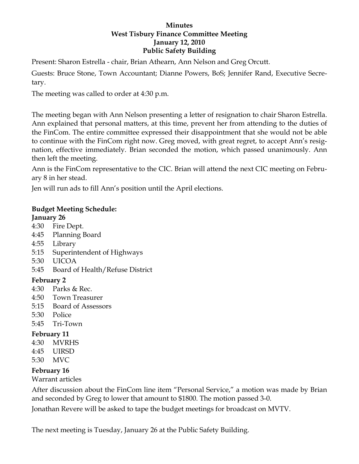## **Minutes West Tisbury Finance Committee Meeting January 12, 2010 Public Safety Building**

Present: Sharon Estrella - chair, Brian Athearn, Ann Nelson and Greg Orcutt.

Guests: Bruce Stone, Town Accountant; Dianne Powers, BoS; Jennifer Rand, Executive Secretary.

The meeting was called to order at 4:30 p.m.

The meeting began with Ann Nelson presenting a letter of resignation to chair Sharon Estrella. Ann explained that personal matters, at this time, prevent her from attending to the duties of the FinCom. The entire committee expressed their disappointment that she would not be able to continue with the FinCom right now. Greg moved, with great regret, to accept Ann's resignation, effective immediately. Brian seconded the motion, which passed unanimously. Ann then left the meeting.

Ann is the FinCom representative to the CIC. Brian will attend the next CIC meeting on February 8 in her stead.

Jen will run ads to fill Ann's position until the April elections.

## **Budget Meeting Schedule: January 26**

- 4:30 Fire Dept.
- 4:45 Planning Board
- 4:55 Library
- 5:15 Superintendent of Highways
- 5:30 UICOA
- 5:45 Board of Health/Refuse District

# **February 2**

- 4:30 Parks & Rec.
- 4:50 Town Treasurer
- 5:15 Board of Assessors
- 5:30 Police
- 5:45 Tri-Town

## **February 11**

- 4:30 MVRHS
- 4:45 UIRSD
- 5:30 MVC

# **February 16**

Warrant articles

After discussion about the FinCom line item "Personal Service," a motion was made by Brian and seconded by Greg to lower that amount to \$1800. The motion passed 3-0.

Jonathan Revere will be asked to tape the budget meetings for broadcast on MVTV.

The next meeting is Tuesday, January 26 at the Public Safety Building.